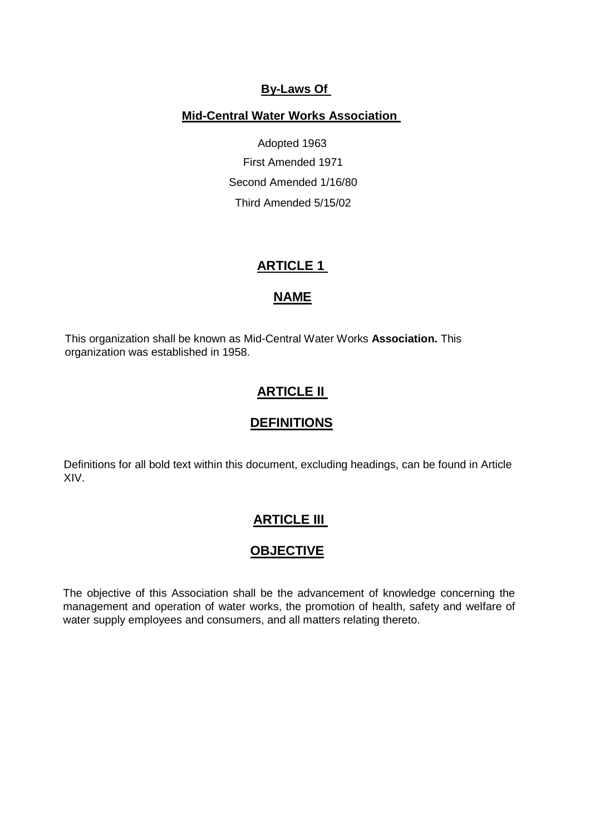### **By-Laws Of**

### **Mid-Central Water Works Association**

Adopted 1963 First Amended 1971 Second Amended 1/16/80 Third Amended 5/15/02

## **ARTICLE 1**

### **NAME**

This organization shall be known as Mid-Central Water Works **Association.** This organization was established in 1958.

## **ARTICLE II**

### **DEFINITIONS**

Definitions for all bold text within this document, excluding headings, can be found in Article XIV.

### **ARTICLE III**

### **OBJECTIVE**

The objective of this Association shall be the advancement of knowledge concerning the management and operation of water works, the promotion of health, safety and welfare of water supply employees and consumers, and all matters relating thereto.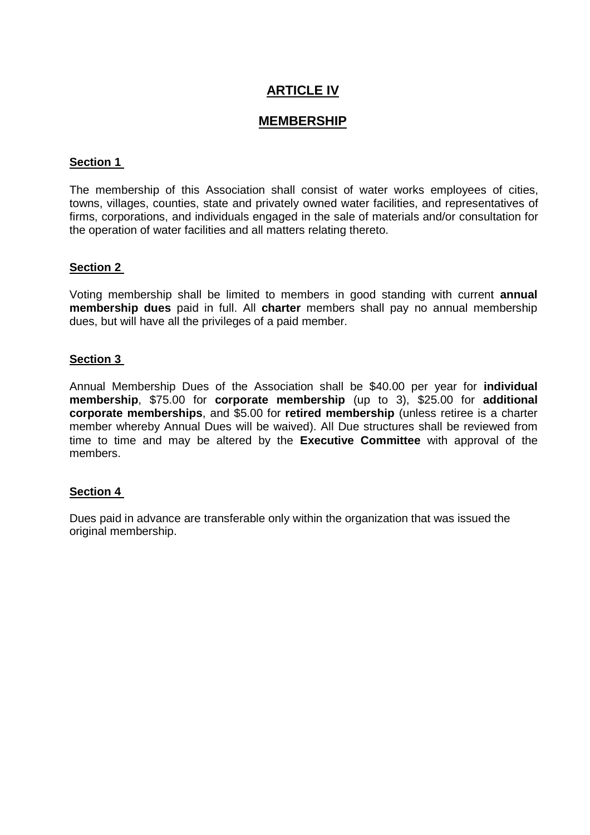# **ARTICLE IV**

## **MEMBERSHIP**

### **Section 1**

The membership of this Association shall consist of water works employees of cities, towns, villages, counties, state and privately owned water facilities, and representatives of firms, corporations, and individuals engaged in the sale of materials and/or consultation for the operation of water facilities and all matters relating thereto.

### **Section 2**

Voting membership shall be limited to members in good standing with current **annual membership dues** paid in full. All **charter** members shall pay no annual membership dues, but will have all the privileges of a paid member.

### **Section 3**

Annual Membership Dues of the Association shall be \$40.00 per year for **individual membership**, \$75.00 for **corporate membership** (up to 3), \$25.00 for **additional corporate memberships**, and \$5.00 for **retired membership** (unless retiree is a charter member whereby Annual Dues will be waived). All Due structures shall be reviewed from time to time and may be altered by the **Executive Committee** with approval of the members.

### **Section 4**

Dues paid in advance are transferable only within the organization that was issued the original membership.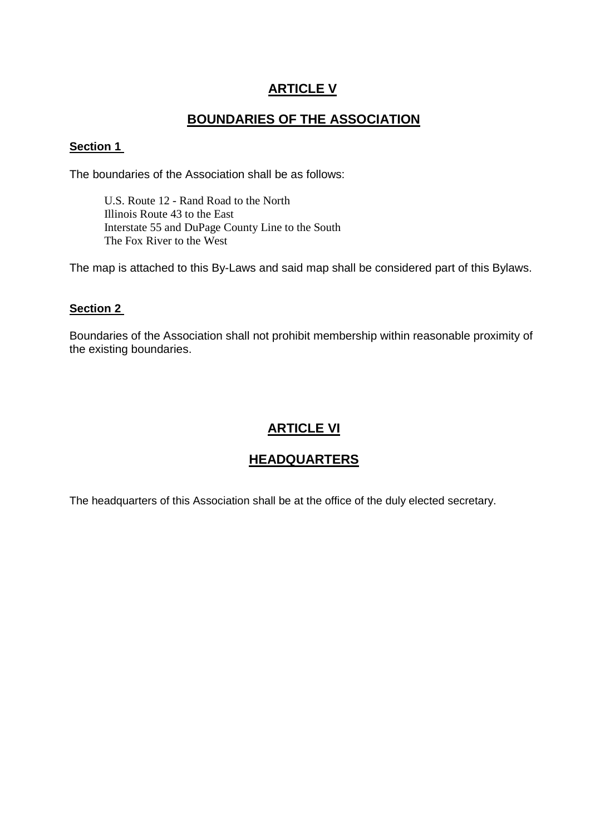# **ARTICLE V**

## **BOUNDARIES OF THE ASSOCIATION**

### **Section 1**

The boundaries of the Association shall be as follows:

U.S. Route 12 - Rand Road to the North Illinois Route 43 to the East Interstate 55 and DuPage County Line to the South The Fox River to the West

The map is attached to this By-Laws and said map shall be considered part of this Bylaws.

### **Section 2**

Boundaries of the Association shall not prohibit membership within reasonable proximity of the existing boundaries.

## **ARTICLE VI**

## **HEADQUARTERS**

The headquarters of this Association shall be at the office of the duly elected secretary.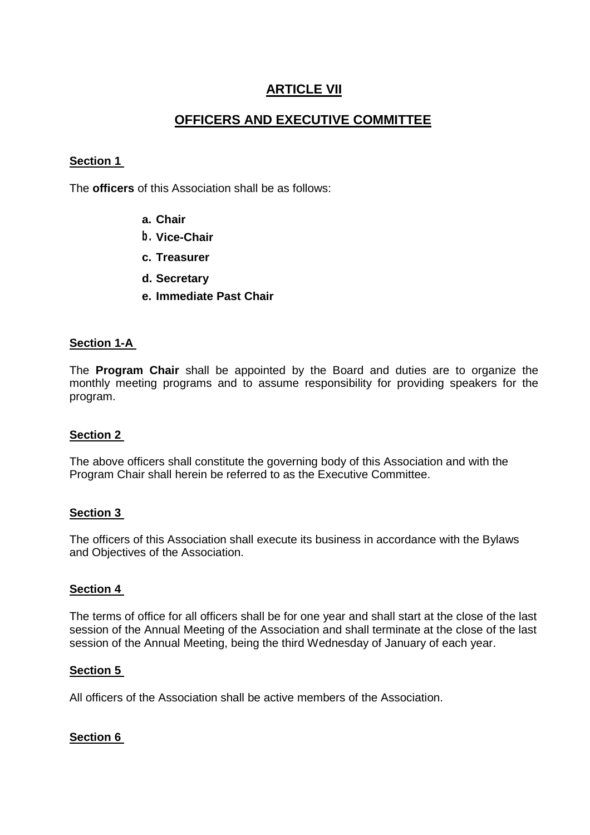## **ARTICLE VII**

## **OFFICERS AND EXECUTIVE COMMITTEE**

### **Section 1**

The **officers** of this Association shall be as follows:

- **a. Chair**
- **b. Vice-Chair**
- **c. Treasurer**
- **d. Secretary**
- **e. Immediate Past Chair**

### **Section 1-A**

The **Program Chair** shall be appointed by the Board and duties are to organize the monthly meeting programs and to assume responsibility for providing speakers for the program.

### **Section 2**

The above officers shall constitute the governing body of this Association and with the Program Chair shall herein be referred to as the Executive Committee.

### **Section 3**

The officers of this Association shall execute its business in accordance with the Bylaws and Objectives of the Association.

### **Section 4**

The terms of office for all officers shall be for one year and shall start at the close of the last session of the Annual Meeting of the Association and shall terminate at the close of the last session of the Annual Meeting, being the third Wednesday of January of each year.

#### **Section 5**

All officers of the Association shall be active members of the Association.

### **Section 6**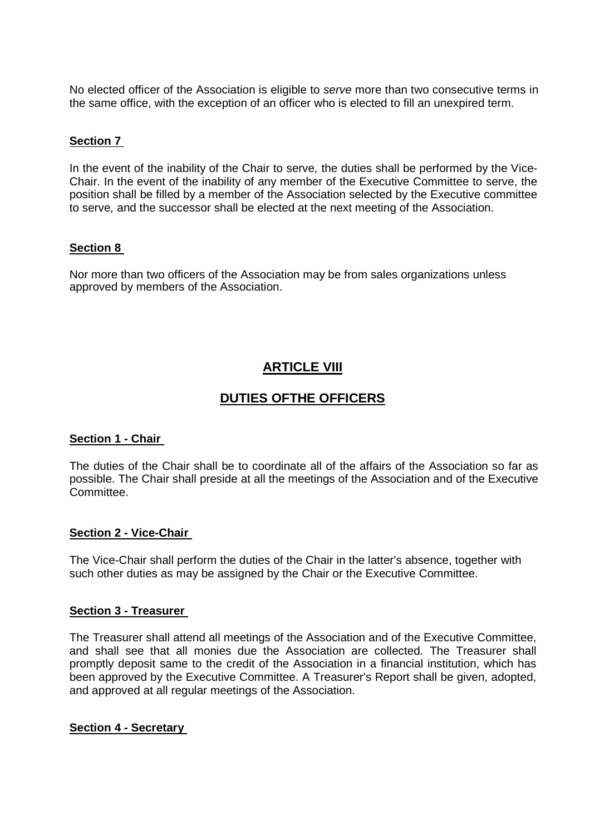No elected officer of the Association is eligible to *serve* more than two consecutive terms in the same office, with the exception of an officer who is elected to fill an unexpired term.

### **Section 7**

In the event of the inability of the Chair to serve*,* the duties shall be performed by the Vice-Chair. In the event of the inability of any member of the Executive Committee to serve, the position shall be filled by a member of the Association selected by the Executive committee to serve*,* and the successor shall be elected at the next meeting of the Association.

### **Section 8**

Nor more than two officers of the Association may be from sales organizations unless approved by members of the Association.

## **ARTICLE VIII**

## **DUTIES OFTHE OFFICERS**

#### **Section 1 - Chair**

The duties of the Chair shall be to coordinate all of the affairs of the Association so far as possible. The Chair shall preside at all the meetings of the Association and of the Executive Committee.

#### **Section 2 - Vice-Chair**

The Vice-Chair shall perform the duties of the Chair in the latter's absence, together with such other duties as may be assigned by the Chair or the Executive Committee.

#### **Section 3 - Treasurer**

The Treasurer shall attend all meetings of the Association and of the Executive Committee, and shall see that all monies due the Association are collected. The Treasurer shall promptly deposit same to the credit of the Association in a financial institution, which has been approved by the Executive Committee. A Treasurer's Report shall be given, adopted, and approved at all regular meetings of the Association.

#### **Section 4 - Secretary**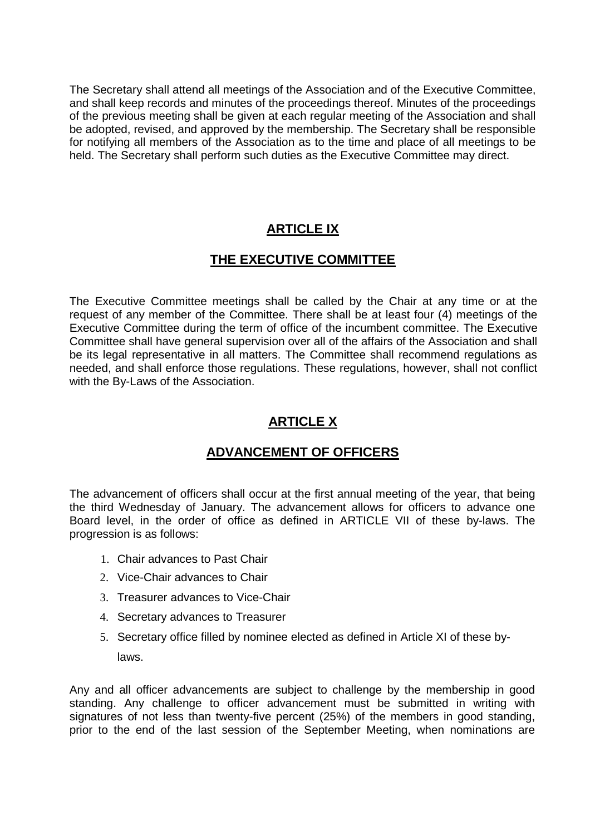The Secretary shall attend all meetings of the Association and of the Executive Committee, and shall keep records and minutes of the proceedings thereof. Minutes of the proceedings of the previous meeting shall be given at each regular meeting of the Association and shall be adopted, revised, and approved by the membership. The Secretary shall be responsible for notifying all members of the Association as to the time and place of all meetings to be held. The Secretary shall perform such duties as the Executive Committee may direct.

# **ARTICLE IX**

## **THE EXECUTIVE COMMITTEE**

The Executive Committee meetings shall be called by the Chair at any time or at the request of any member of the Committee. There shall be at least four (4) meetings of the Executive Committee during the term of office of the incumbent committee. The Executive Committee shall have general supervision over all of the affairs of the Association and shall be its legal representative in all matters. The Committee shall recommend regulations as needed, and shall enforce those regulations. These regulations, however, shall not conflict with the By-Laws of the Association.

# **ARTICLE X**

## **ADVANCEMENT OF OFFICERS**

The advancement of officers shall occur at the first annual meeting of the year, that being the third Wednesday of January. The advancement allows for officers to advance one Board level, in the order of office as defined in ARTICLE VII of these by-laws. The progression is as follows:

- 1. Chair advances to Past Chair
- 2. Vice-Chair advances to Chair
- 3. Treasurer advances to Vice-Chair
- 4. Secretary advances to Treasurer
- 5. Secretary office filled by nominee elected as defined in Article XI of these bylaws.

Any and all officer advancements are subject to challenge by the membership in good standing. Any challenge to officer advancement must be submitted in writing with signatures of not less than twenty-five percent (25%) of the members in good standing, prior to the end of the last session of the September Meeting, when nominations are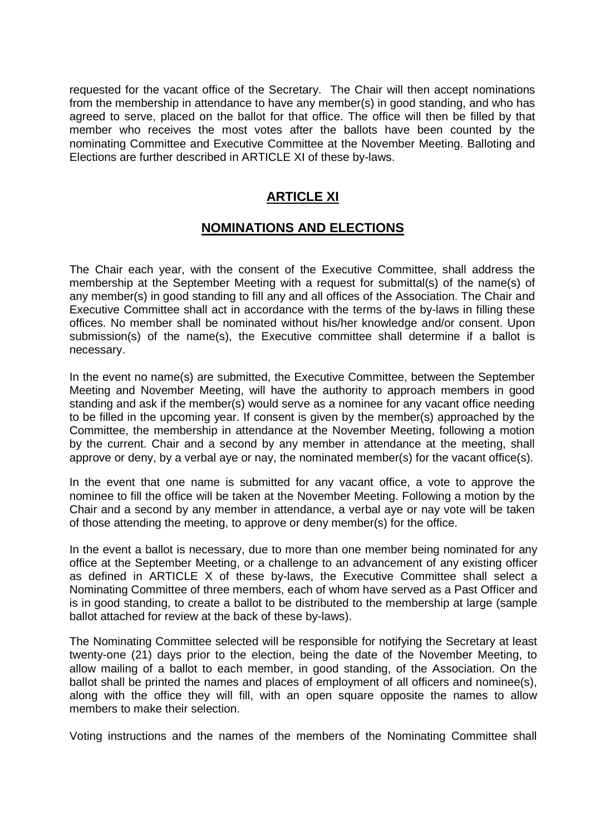requested for the vacant office of the Secretary. The Chair will then accept nominations from the membership in attendance to have any member(s) in good standing, and who has agreed to serve, placed on the ballot for that office. The office will then be filled by that member who receives the most votes after the ballots have been counted by the nominating Committee and Executive Committee at the November Meeting. Balloting and Elections are further described in ARTICLE XI of these by-laws.

## **ARTICLE XI**

## **NOMINATIONS AND ELECTIONS**

The Chair each year, with the consent of the Executive Committee, shall address the membership at the September Meeting with a request for submittal(s) of the name(s) of any member(s) in good standing to fill any and all offices of the Association. The Chair and Executive Committee shall act in accordance with the terms of the by-laws in filling these offices. No member shall be nominated without his/her knowledge and/or consent. Upon submission(s) of the name(s), the Executive committee shall determine if a ballot is necessary.

In the event no name(s) are submitted, the Executive Committee, between the September Meeting and November Meeting, will have the authority to approach members in good standing and ask if the member(s) would serve as a nominee for any vacant office needing to be filled in the upcoming year. If consent is given by the member(s) approached by the Committee, the membership in attendance at the November Meeting, following a motion by the current. Chair and a second by any member in attendance at the meeting, shall approve or deny, by a verbal aye or nay, the nominated member(s) for the vacant office(s).

In the event that one name is submitted for any vacant office, a vote to approve the nominee to fill the office will be taken at the November Meeting. Following a motion by the Chair and a second by any member in attendance, a verbal aye or nay vote will be taken of those attending the meeting, to approve or deny member(s) for the office.

In the event a ballot is necessary, due to more than one member being nominated for any office at the September Meeting, or a challenge to an advancement of any existing officer as defined in ARTICLE X of these by-laws, the Executive Committee shall select a Nominating Committee of three members, each of whom have served as a Past Officer and is in good standing, to create a ballot to be distributed to the membership at large (sample ballot attached for review at the back of these by-laws).

The Nominating Committee selected will be responsible for notifying the Secretary at least twenty-one (21) days prior to the election, being the date of the November Meeting, to allow mailing of a ballot to each member, in good standing, of the Association. On the ballot shall be printed the names and places of employment of all officers and nominee(s), along with the office they will fill, with an open square opposite the names to allow members to make their selection.

Voting instructions and the names of the members of the Nominating Committee shall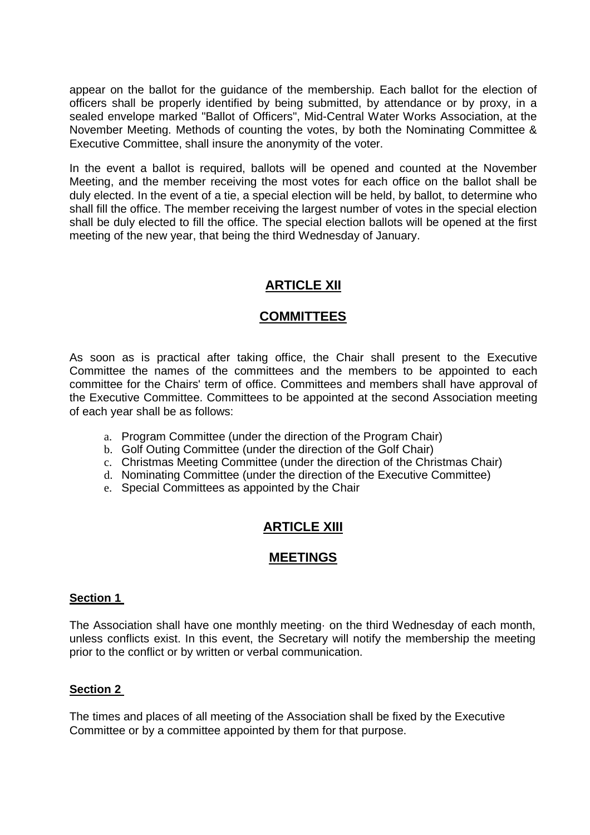appear on the ballot for the guidance of the membership. Each ballot for the election of officers shall be properly identified by being submitted, by attendance or by proxy, in a sealed envelope marked "Ballot of Officers", Mid-Central Water Works Association, at the November Meeting. Methods of counting the votes, by both the Nominating Committee & Executive Committee, shall insure the anonymity of the voter.

In the event a ballot is required, ballots will be opened and counted at the November Meeting, and the member receiving the most votes for each office on the ballot shall be duly elected. In the event of a tie, a special election will be held, by ballot, to determine who shall fill the office. The member receiving the largest number of votes in the special election shall be duly elected to fill the office. The special election ballots will be opened at the first meeting of the new year, that being the third Wednesday of January.

## **ARTICLE XII**

## **COMMITTEES**

As soon as is practical after taking office, the Chair shall present to the Executive Committee the names of the committees and the members to be appointed to each committee for the Chairs' term of office. Committees and members shall have approval of the Executive Committee. Committees to be appointed at the second Association meeting of each year shall be as follows:

- a. Program Committee (under the direction of the Program Chair)
- b. Golf Outing Committee (under the direction of the Golf Chair)
- c. Christmas Meeting Committee (under the direction of the Christmas Chair)
- d. Nominating Committee (under the direction of the Executive Committee)
- e. Special Committees as appointed by the Chair

## **ARTICLE XIII**

### **MEETINGS**

### **Section 1**

The Association shall have one monthly meeting· on the third Wednesday of each month, unless conflicts exist. In this event, the Secretary will notify the membership the meeting prior to the conflict or by written or verbal communication.

### **Section 2**

The times and places of all meeting of the Association shall be fixed by the Executive Committee or by a committee appointed by them for that purpose.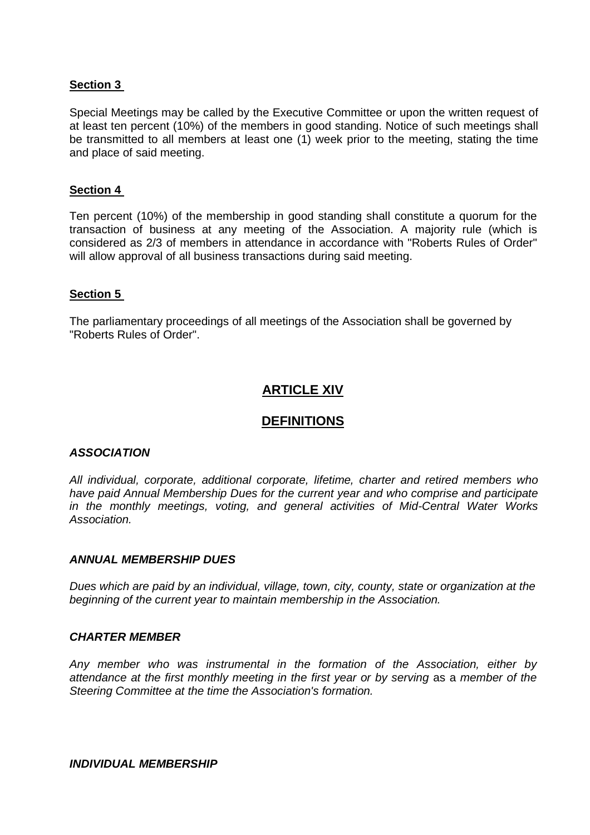### **Section 3**

Special Meetings may be called by the Executive Committee or upon the written request of at least ten percent (10%) of the members in good standing. Notice of such meetings shall be transmitted to all members at least one (1) week prior to the meeting, stating the time and place of said meeting.

### **Section 4**

Ten percent (10%) of the membership in good standing shall constitute a quorum for the transaction of business at any meeting of the Association. A majority rule (which is considered as 2/3 of members in attendance in accordance with "Roberts Rules of Order" will allow approval of all business transactions during said meeting.

### **Section 5**

The parliamentary proceedings of all meetings of the Association shall be governed by "Roberts Rules of Order".

## **ARTICLE XIV**

### **DEFINITIONS**

#### *ASSOCIATION*

*All individual, corporate, additional corporate, lifetime, charter and retired members who have paid Annual Membership Dues for the current year and who comprise and participate in the monthly meetings, voting, and general activities of Mid-Central Water Works Association.*

#### *ANNUAL MEMBERSHIP DUES*

*Dues which are paid by an individual, village, town, city, county, state or organization at the beginning of the current year to maintain membership in the Association.*

#### *CHARTER MEMBER*

*Any member who was instrumental in the formation of the Association, either by attendance at the first monthly meeting in the first year or by serving* as a *member of the Steering Committee at the time the Association's formation.*

*INDIVIDUAL MEMBERSHIP*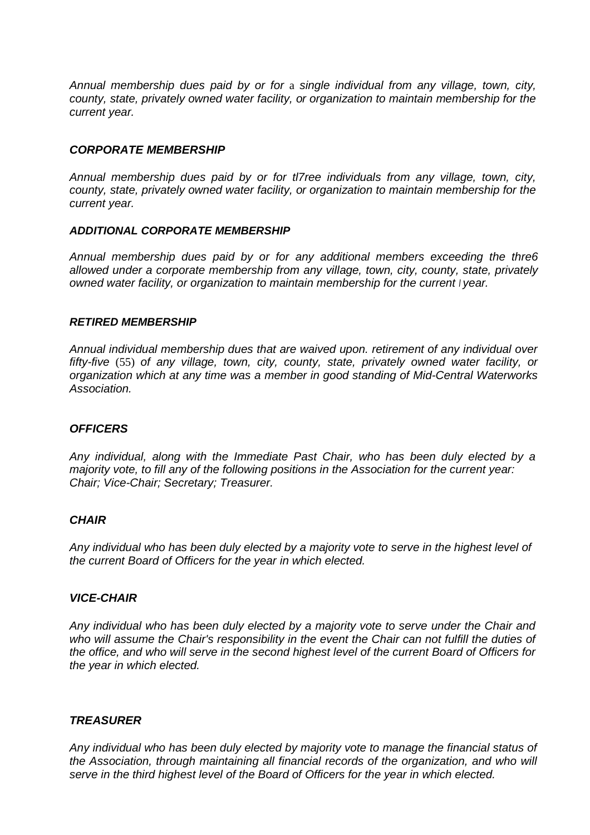*Annual membership dues paid by or for* a *single individual from any village, town, city, county, state, privately owned water facility, or organization to maintain membership for the current year.*

#### *CORPORATE MEMBERSHIP*

*Annual membership dues paid by or for tl7ree individuals from any village, town, city, county, state, privately owned water facility, or organization to maintain membership for the current year.*

#### *ADDITIONAL CORPORATE MEMBERSHIP*

*Annual membership dues paid by or for any additional members exceeding the thre6 allowed under a corporate membership from any village, town, city, county, state, privately owned water facility, or organization to maintain membership for the current <sup>I</sup> year.*

#### *RETIRED MEMBERSHIP*

*Annual individual membership dues that are waived upon. retirement of any individual over fifty-five* (55) *of any village, town, city, county, state, privately owned water facility, or organization which at any time was a member in good standing of Mid-Central Waterworks Association.*

#### *OFFICERS*

*Any individual, along with the Immediate Past Chair, who has been duly elected by a majority vote, to fill any of the following positions in the Association for the current year: Chair; Vice-Chair; Secretary; Treasurer.*

#### *CHAIR*

*Any individual who has been duly elected by a majority vote to serve in the highest level of the current Board of Officers for the year in which elected.*

#### *VICE-CHAIR*

*Any individual who has been duly elected by a majority vote to serve under the Chair and who will assume the Chair's responsibility in the event the Chair can not fulfill the duties of the office, and who will serve in the second highest level of the current Board of Officers for the year in which elected.*

#### *TREASURER*

*Any individual who has been duly elected by majority vote to manage the financial status of the Association, through maintaining all financial records of the organization, and who will serve in the third highest level of the Board of Officers for the year in which elected.*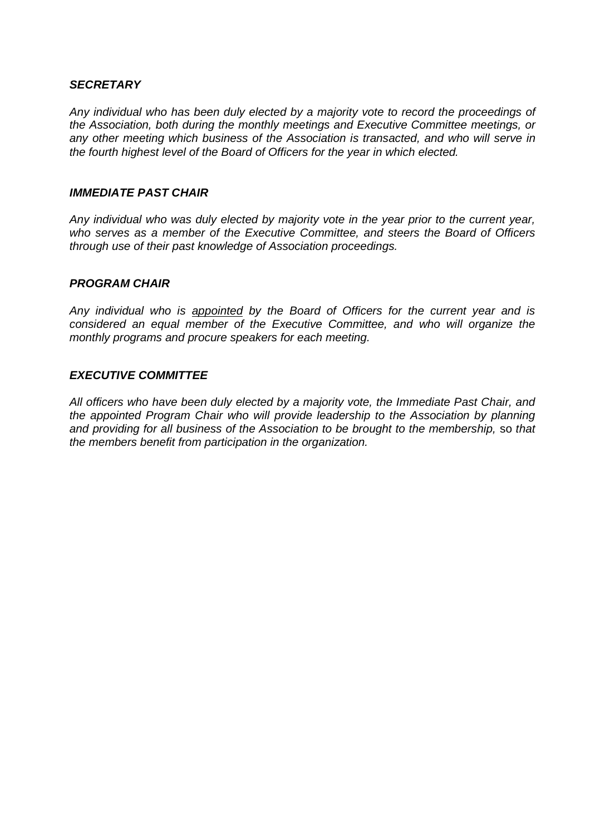### *SECRETARY*

*Any individual who has been duly elected by a majority vote to record the proceedings of the Association, both during the monthly meetings and Executive Committee meetings, or any other meeting which business of the Association is transacted, and who will serve in the fourth highest level of the Board of Officers for the year in which elected.*

#### *IMMEDIATE PAST CHAIR*

*Any individual who was duly elected by majority vote in the year prior to the current year, who serves as a member of the Executive Committee, and steers the Board of Officers through use of their past knowledge of Association proceedings.*

### *PROGRAM CHAIR*

*Any individual who is appointed by the Board of Officers for the current year and is considered an equal member of the Executive Committee, and who will organize the monthly programs and procure speakers for each meeting.*

### *EXECUTIVE COMMITTEE*

*All officers who have been duly elected by a majority vote, the Immediate Past Chair, and the appointed Program Chair who will provide leadership to the Association by planning and providing for all business of the Association to be brought to the membership,* so *that the members benefit from participation in the organization.*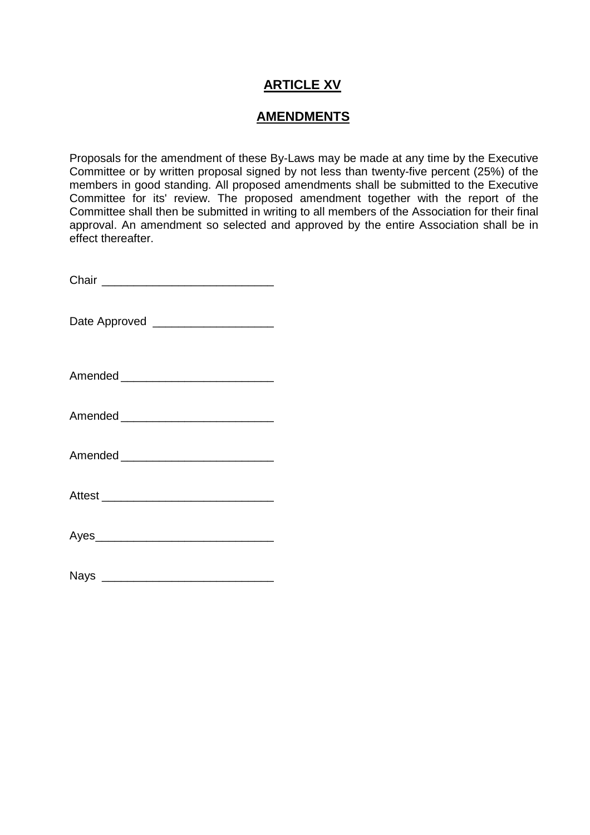# **ARTICLE XV**

## **AMENDMENTS**

Proposals for the amendment of these By-Laws may be made at any time by the Executive Committee or by written proposal signed by not less than twenty-five percent (25%) of the members in good standing. All proposed amendments shall be submitted to the Executive Committee for its' review. The proposed amendment together with the report of the Committee shall then be submitted in writing to all members of the Association for their final approval. An amendment so selected and approved by the entire Association shall be in effect thereafter.

| Chair |  |  |  |
|-------|--|--|--|
|       |  |  |  |

Date Approved \_\_\_\_\_\_\_\_\_\_\_\_\_\_\_\_\_\_\_\_\_\_

Amended \_\_\_\_\_\_\_\_\_\_\_\_\_\_\_\_\_\_\_\_\_\_\_\_

| Aves<br>, |  |  |  |
|-----------|--|--|--|
|           |  |  |  |

| <b>Nays</b> |  |  |  |
|-------------|--|--|--|
|             |  |  |  |